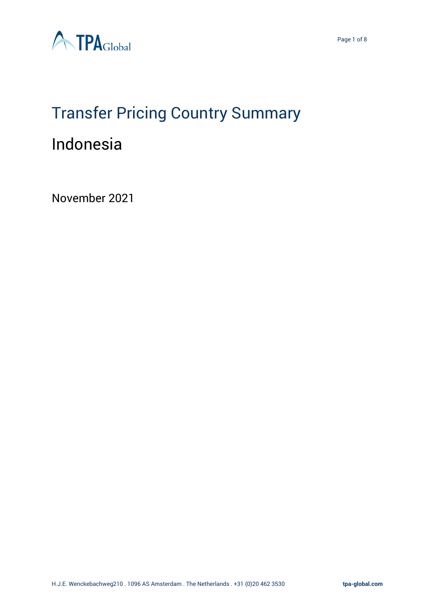

# Transfer Pricing Country Summary

# Indonesia

November 2021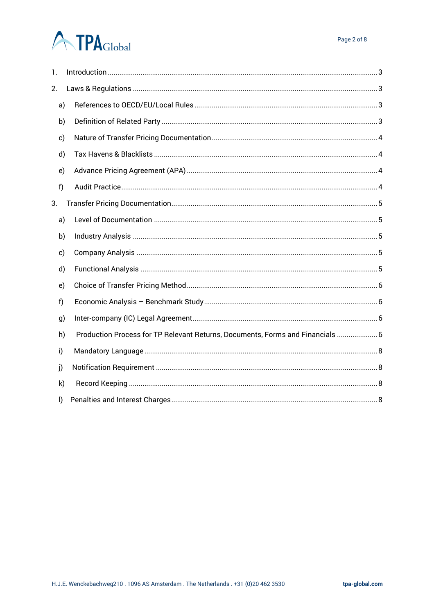# **ATPA**Global

| 1.           |  |                                                                                |  |  |  |  |  |  |
|--------------|--|--------------------------------------------------------------------------------|--|--|--|--|--|--|
| 2.           |  |                                                                                |  |  |  |  |  |  |
| a)           |  |                                                                                |  |  |  |  |  |  |
| b)           |  |                                                                                |  |  |  |  |  |  |
| c)           |  |                                                                                |  |  |  |  |  |  |
| d)           |  |                                                                                |  |  |  |  |  |  |
| e)           |  |                                                                                |  |  |  |  |  |  |
| f)           |  |                                                                                |  |  |  |  |  |  |
| 3.           |  |                                                                                |  |  |  |  |  |  |
| a)           |  |                                                                                |  |  |  |  |  |  |
| b)           |  |                                                                                |  |  |  |  |  |  |
| c)           |  |                                                                                |  |  |  |  |  |  |
| d)           |  |                                                                                |  |  |  |  |  |  |
| e)           |  |                                                                                |  |  |  |  |  |  |
| f            |  |                                                                                |  |  |  |  |  |  |
| g)           |  |                                                                                |  |  |  |  |  |  |
| h)           |  | Production Process for TP Relevant Returns, Documents, Forms and Financials  6 |  |  |  |  |  |  |
| i)           |  |                                                                                |  |  |  |  |  |  |
| j)           |  |                                                                                |  |  |  |  |  |  |
| $\mathsf{k}$ |  |                                                                                |  |  |  |  |  |  |
| I)           |  |                                                                                |  |  |  |  |  |  |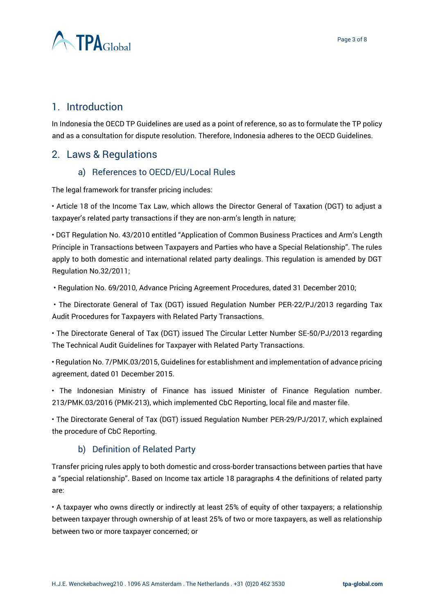

# <span id="page-2-0"></span>1. Introduction

In Indonesia the OECD TP Guidelines are used as a point of reference, so as to formulate the TP policy and as a consultation for dispute resolution. Therefore, Indonesia adheres to the OECD Guidelines.

# <span id="page-2-2"></span><span id="page-2-1"></span>2. Laws & Regulations

#### a) References to OECD/EU/Local Rules

The legal framework for transfer pricing includes:

• Article 18 of the Income Tax Law, which allows the Director General of Taxation (DGT) to adjust a taxpayer's related party transactions if they are non-arm's length in nature;

• DGT Regulation No. 43/2010 entitled "Application of Common Business Practices and Arm's Length Principle in Transactions between Taxpayers and Parties who have a Special Relationship". The rules apply to both domestic and international related party dealings. This regulation is amended by DGT Regulation No.32/2011;

• Regulation No. 69/2010, Advance Pricing Agreement Procedures, dated 31 December 2010;

• The Directorate General of Tax (DGT) issued Regulation Number PER-22/PJ/2013 regarding Tax Audit Procedures for Taxpayers with Related Party Transactions.

• The Directorate General of Tax (DGT) issued The Circular Letter Number SE-50/PJ/2013 regarding The Technical Audit Guidelines for Taxpayer with Related Party Transactions.

• Regulation No. 7/PMK.03/2015, Guidelines for establishment and implementation of advance pricing agreement, dated 01 December 2015.

• The Indonesian Ministry of Finance has issued Minister of Finance Regulation number. 213/PMK.03/2016 (PMK-213), which implemented CbC Reporting, local file and master file.

• The Directorate General of Tax (DGT) issued Regulation Number PER-29/PJ/2017, which explained the procedure of CbC Reporting.

#### b) Definition of Related Party

<span id="page-2-3"></span>Transfer pricing rules apply to both domestic and cross-border transactions between parties that have a "special relationship". Based on Income tax article 18 paragraphs 4 the definitions of related party are:

• A taxpayer who owns directly or indirectly at least 25% of equity of other taxpayers; a relationship between taxpayer through ownership of at least 25% of two or more taxpayers, as well as relationship between two or more taxpayer concerned; or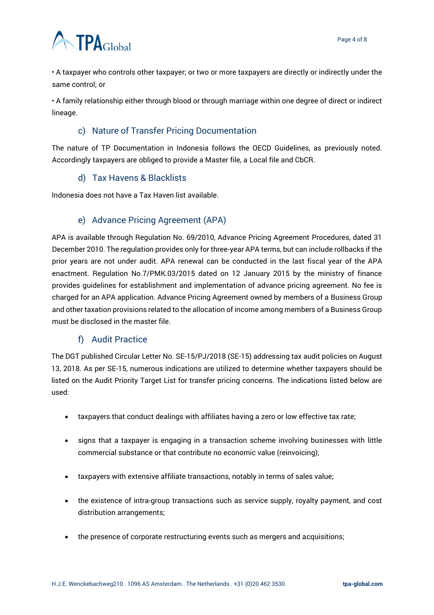



• A taxpayer who controls other taxpayer; or two or more taxpayers are directly or indirectly under the same control; or

• A family relationship either through blood or through marriage within one degree of direct or indirect lineage.

## c) Nature of Transfer Pricing Documentation

<span id="page-3-0"></span>The nature of TP Documentation in Indonesia follows the OECD Guidelines, as previously noted. Accordingly taxpayers are obliged to provide a Master file, a Local file and CbCR.

#### d) Tax Havens & Blacklists

<span id="page-3-1"></span>Indonesia does not have a Tax Haven list available.

## e) Advance Pricing Agreement (APA)

<span id="page-3-2"></span>APA is available through Regulation No. 69/2010, Advance Pricing Agreement Procedures, dated 31 December 2010. The regulation provides only for three-year APA terms, but can include rollbacks if the prior years are not under audit. APA renewal can be conducted in the last fiscal year of the APA enactment. Regulation No.7/PMK.03/2015 dated on 12 January 2015 by the ministry of finance provides guidelines for establishment and implementation of advance pricing agreement. No fee is charged for an APA application. Advance Pricing Agreement owned by members of a Business Group and other taxation provisions related to the allocation of income among members of a Business Group must be disclosed in the master file.

#### f) Audit Practice

<span id="page-3-3"></span>The DGT published Circular Letter No. SE-15/PJ/2018 (SE-15) addressing tax audit policies on August 13, 2018. As per SE-15, numerous indications are utilized to determine whether taxpayers should be listed on the Audit Priority Target List for transfer pricing concerns. The indications listed below are used:

- taxpayers that conduct dealings with affiliates having a zero or low effective tax rate;
- signs that a taxpayer is engaging in a transaction scheme involving businesses with little commercial substance or that contribute no economic value (reinvoicing);
- taxpayers with extensive affiliate transactions, notably in terms of sales value;
- the existence of intra-group transactions such as service supply, royalty payment, and cost distribution arrangements;
- the presence of corporate restructuring events such as mergers and acquisitions;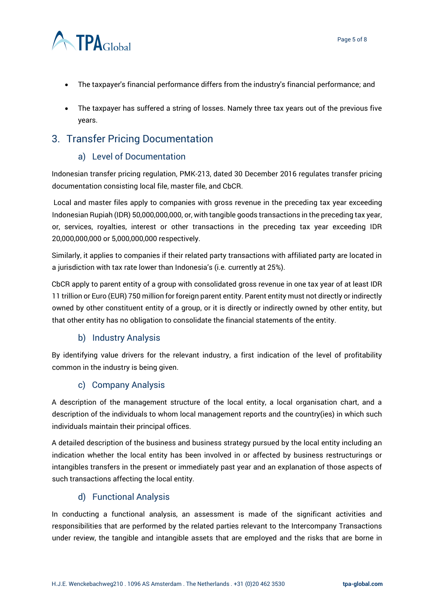

- The taxpayer's financial performance differs from the industry's financial performance; and
- The taxpayer has suffered a string of losses. Namely three tax years out of the previous five years.

# <span id="page-4-1"></span><span id="page-4-0"></span>3. Transfer Pricing Documentation

#### a) Level of Documentation

Indonesian transfer pricing regulation, PMK-213, dated 30 December 2016 regulates transfer pricing documentation consisting local file, master file, and CbCR.

Local and master files apply to companies with gross revenue in the preceding tax year exceeding Indonesian Rupiah (IDR) 50,000,000,000, or, with tangible goods transactions in the preceding tax year, or, services, royalties, interest or other transactions in the preceding tax year exceeding IDR 20,000,000,000 or 5,000,000,000 respectively.

Similarly, it applies to companies if their related party transactions with affiliated party are located in a jurisdiction with tax rate lower than Indonesia's (i.e. currently at 25%).

CbCR apply to parent entity of a group with consolidated gross revenue in one tax year of at least IDR 11 trillion or Euro (EUR) 750 million for foreign parent entity. Parent entity must not directly or indirectly owned by other constituent entity of a group, or it is directly or indirectly owned by other entity, but that other entity has no obligation to consolidate the financial statements of the entity.

#### b) Industry Analysis

<span id="page-4-2"></span>By identifying value drivers for the relevant industry, a first indication of the level of profitability common in the industry is being given.

#### c) Company Analysis

<span id="page-4-3"></span>A description of the management structure of the local entity, a local organisation chart, and a description of the individuals to whom local management reports and the country(ies) in which such individuals maintain their principal offices.

A detailed description of the business and business strategy pursued by the local entity including an indication whether the local entity has been involved in or affected by business restructurings or intangibles transfers in the present or immediately past year and an explanation of those aspects of such transactions affecting the local entity.

#### d) Functional Analysis

<span id="page-4-4"></span>In conducting a functional analysis, an assessment is made of the significant activities and responsibilities that are performed by the related parties relevant to the Intercompany Transactions under review, the tangible and intangible assets that are employed and the risks that are borne in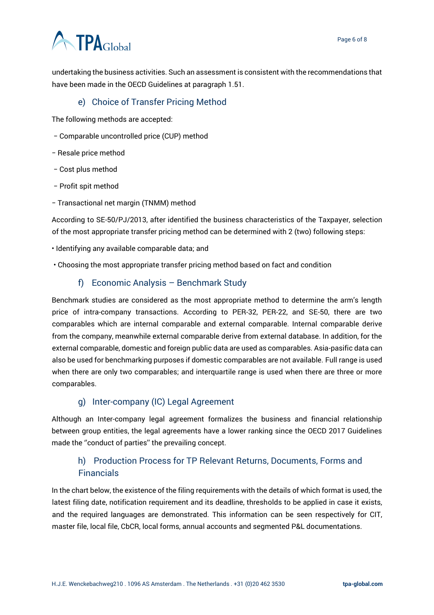# **ATPA**Global

undertaking the business activities. Such an assessment is consistent with the recommendations that have been made in the OECD Guidelines at paragraph 1.51.

#### e) Choice of Transfer Pricing Method

<span id="page-5-0"></span>The following methods are accepted:

- − Comparable uncontrolled price (CUP) method
- − Resale price method
- − Cost plus method
- − Profit spit method
- − Transactional net margin (TNMM) method

According to SE-50/PJ/2013, after identified the business characteristics of the Taxpayer, selection of the most appropriate transfer pricing method can be determined with 2 (two) following steps:

- Identifying any available comparable data; and
- <span id="page-5-1"></span>• Choosing the most appropriate transfer pricing method based on fact and condition

#### f) Economic Analysis – Benchmark Study

Benchmark studies are considered as the most appropriate method to determine the arm's length price of intra-company transactions. According to PER-32, PER-22, and SE-50, there are two comparables which are internal comparable and external comparable. Internal comparable derive from the company, meanwhile external comparable derive from external database. In addition, for the external comparable, domestic and foreign public data are used as comparables. Asia-pasific data can also be used for benchmarking purposes if domestic comparables are not available. Full range is used when there are only two comparables; and interquartile range is used when there are three or more comparables.

#### g) Inter-company (IC) Legal Agreement

<span id="page-5-2"></span>Although an Inter-company legal agreement formalizes the business and financial relationship between group entities, the legal agreements have a lower ranking since the OECD 2017 Guidelines made the ''conduct of parties'' the prevailing concept.

# <span id="page-5-3"></span>h) Production Process for TP Relevant Returns, Documents, Forms and Financials

In the chart below, the existence of the filing requirements with the details of which format is used, the latest filing date, notification requirement and its deadline, thresholds to be applied in case it exists, and the required languages are demonstrated. This information can be seen respectively for CIT, master file, local file, CbCR, local forms, annual accounts and segmented P&L documentations.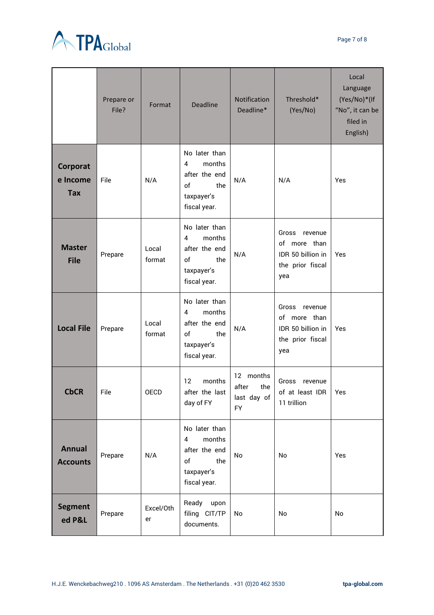

|                                    | Prepare or<br>File? | Format          | <b>Deadline</b>                                                                          | Notification<br>Deadline*                             | Threshold*<br>(Yes/No)                                                           | Local<br>Language<br>(Yes/No)*(If<br>"No", it can be<br>filed in<br>English) |
|------------------------------------|---------------------|-----------------|------------------------------------------------------------------------------------------|-------------------------------------------------------|----------------------------------------------------------------------------------|------------------------------------------------------------------------------|
| Corporat<br>e Income<br><b>Tax</b> | File                | N/A             | No later than<br>months<br>4<br>after the end<br>оf<br>the<br>taxpayer's<br>fiscal year. | N/A                                                   | N/A                                                                              | Yes                                                                          |
| <b>Master</b><br><b>File</b>       | Prepare             | Local<br>format | No later than<br>months<br>4<br>after the end<br>of<br>the<br>taxpayer's<br>fiscal year. | N/A                                                   | Gross<br>revenue<br>of more than<br>IDR 50 billion in<br>the prior fiscal<br>yea | Yes                                                                          |
| <b>Local File</b>                  | Prepare             | Local<br>format | No later than<br>months<br>4<br>after the end<br>оf<br>the<br>taxpayer's<br>fiscal year. | N/A                                                   | Gross<br>revenue<br>of more than<br>IDR 50 billion in<br>the prior fiscal<br>yea | Yes                                                                          |
| <b>CbCR</b>                        | File                | <b>OECD</b>     | months<br>12<br>after the last<br>day of FY                                              | 12 months<br>after<br>the<br>last day of<br><b>FY</b> | Gross<br>revenue<br>of at least IDR<br>11 trillion                               | Yes                                                                          |
| <b>Annual</b><br><b>Accounts</b>   | Prepare             | N/A             | No later than<br>months<br>4<br>after the end<br>the<br>of<br>taxpayer's<br>fiscal year. | No                                                    | No                                                                               | Yes                                                                          |
| <b>Segment</b><br>ed P&L           | Prepare             | Excel/Oth<br>er | Ready<br>upon<br>filing CIT/TP<br>documents.                                             | No                                                    | No                                                                               | No                                                                           |